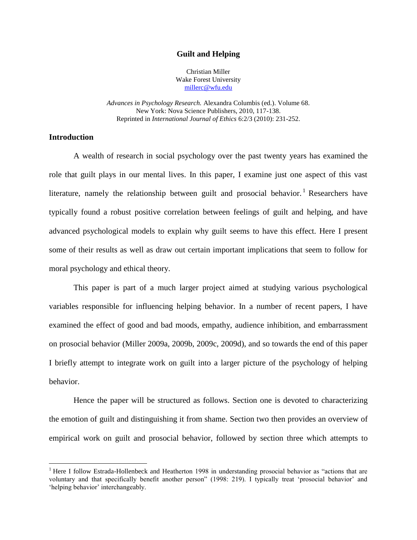#### **Guilt and Helping**

Christian Miller Wake Forest University [millerc@wfu.edu](mailto:millerc@wfu.edu)

*Advances in Psychology Research.* Alexandra Columbis (ed.). Volume 68. New York: Nova Science Publishers, 2010, 117-138. Reprinted in *International Journal of Ethics* 6:2/3 (2010): 231-252.

## **Introduction**

 $\overline{a}$ 

A wealth of research in social psychology over the past twenty years has examined the role that guilt plays in our mental lives. In this paper, I examine just one aspect of this vast literature, namely the relationship between guilt and prosocial behavior.<sup>1</sup> Researchers have typically found a robust positive correlation between feelings of guilt and helping, and have advanced psychological models to explain why guilt seems to have this effect. Here I present some of their results as well as draw out certain important implications that seem to follow for moral psychology and ethical theory.

This paper is part of a much larger project aimed at studying various psychological variables responsible for influencing helping behavior. In a number of recent papers, I have examined the effect of good and bad moods, empathy, audience inhibition, and embarrassment on prosocial behavior (Miller 2009a, 2009b, 2009c, 2009d), and so towards the end of this paper I briefly attempt to integrate work on guilt into a larger picture of the psychology of helping behavior.

Hence the paper will be structured as follows. Section one is devoted to characterizing the emotion of guilt and distinguishing it from shame. Section two then provides an overview of empirical work on guilt and prosocial behavior, followed by section three which attempts to

<sup>&</sup>lt;sup>1</sup> Here I follow Estrada-Hollenbeck and Heatherton 1998 in understanding prosocial behavior as "actions that are voluntary and that specifically benefit another person" (1998: 219). I typically treat "prosocial behavior" and 'helping behavior' interchangeably.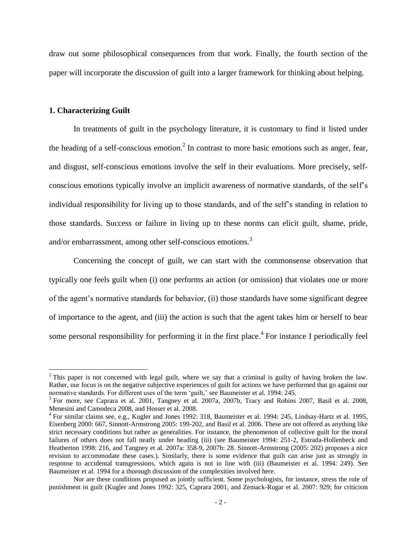draw out some philosophical consequences from that work. Finally, the fourth section of the paper will incorporate the discussion of guilt into a larger framework for thinking about helping.

#### **1. Characterizing Guilt**

 $\overline{a}$ 

In treatments of guilt in the psychology literature, it is customary to find it listed under the heading of a self-conscious emotion.<sup>2</sup> In contrast to more basic emotions such as anger, fear, and disgust, self-conscious emotions involve the self in their evaluations. More precisely, selfconscious emotions typically involve an implicit awareness of normative standards, of the self"s individual responsibility for living up to those standards, and of the self"s standing in relation to those standards. Success or failure in living up to these norms can elicit guilt, shame, pride, and/or embarrassment, among other self-conscious emotions.<sup>3</sup>

Concerning the concept of guilt, we can start with the commonsense observation that typically one feels guilt when (i) one performs an action (or omission) that violates one or more of the agent"s normative standards for behavior, (ii) those standards have some significant degree of importance to the agent, and (iii) the action is such that the agent takes him or herself to bear some personal responsibility for performing it in the first place.<sup>4</sup> For instance I periodically feel

<sup>&</sup>lt;sup>2</sup> This paper is not concerned with legal guilt, where we say that a criminal is guilty of having broken the law. Rather, our focus is on the negative subjective experiences of guilt for actions we have performed that go against our normative standards. For different uses of the term 'guilt,' see Baumeister et al. 1994: 245.

<sup>&</sup>lt;sup>3</sup> For more, see Caprara et al. 2001, Tangney et al. 2007a, 2007b, Tracy and Robins 2007, Basil et al. 2008, Menesini and Camodeca 2008, and Hosser et al. 2008.

<sup>&</sup>lt;sup>4</sup> For similar claims see, e.g., Kugler and Jones 1992: 318, Baumeister et al. 1994: 245, Lindsay-Hartz et al. 1995, Eisenberg 2000: 667, Sinnott-Armstrong 2005: 199-202, and Basil et al. 2006. These are not offered as anything like strict necessary conditions but rather as generalities. For instance, the phenomenon of collective guilt for the moral failures of others does not fall neatly under heading (iii) (see Baumeister 1994: 251-2, Estrada-Hollenbeck and Heatherton 1998: 216, and Tangney et al. 2007a: 358-9, 2007b: 28. Sinnott-Armstrong (2005: 202) proposes a nice revision to accommodate these cases.). Similarly, there is some evidence that guilt can arise just as strongly in response to accidental transgressions, which again is not in line with (iii) (Baumeister et al. 1994: 249). See Baumeister et al. 1994 for a thorough discussion of the complexities involved here.

Nor are these conditions proposed as jointly sufficient. Some psychologists, for instance, stress the role of punishment in guilt (Kugler and Jones 1992: 325, Caprara 2001, and Zemack-Rugar et al. 2007: 929; for criticism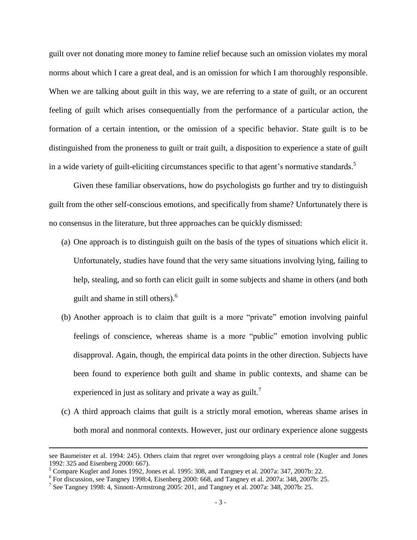guilt over not donating more money to famine relief because such an omission violates my moral norms about which I care a great deal, and is an omission for which I am thoroughly responsible. When we are talking about guilt in this way, we are referring to a state of guilt, or an occurent feeling of guilt which arises consequentially from the performance of a particular action, the formation of a certain intention, or the omission of a specific behavior. State guilt is to be distinguished from the proneness to guilt or trait guilt, a disposition to experience a state of guilt in a wide variety of guilt-eliciting circumstances specific to that agent's normative standards.<sup>5</sup>

Given these familiar observations, how do psychologists go further and try to distinguish guilt from the other self-conscious emotions, and specifically from shame? Unfortunately there is no consensus in the literature, but three approaches can be quickly dismissed:

- (a) One approach is to distinguish guilt on the basis of the types of situations which elicit it. Unfortunately, studies have found that the very same situations involving lying, failing to help, stealing, and so forth can elicit guilt in some subjects and shame in others (and both guilt and shame in still others).<sup>6</sup>
- (b) Another approach is to claim that guilt is a more "private" emotion involving painful feelings of conscience, whereas shame is a more "public" emotion involving public disapproval. Again, though, the empirical data points in the other direction. Subjects have been found to experience both guilt and shame in public contexts, and shame can be experienced in just as solitary and private a way as guilt.<sup>7</sup>
- (c) A third approach claims that guilt is a strictly moral emotion, whereas shame arises in both moral and nonmoral contexts. However, just our ordinary experience alone suggests

see Baumeister et al. 1994: 245). Others claim that regret over wrongdoing plays a central role (Kugler and Jones 1992: 325 and Eisenberg 2000: 667).

<sup>5</sup> Compare Kugler and Jones 1992, Jones et al. 1995: 308, and Tangney et al. 2007a: 347, 2007b: 22.

<sup>6</sup> For discussion, see Tangney 1998:4, Eisenberg 2000: 668, and Tangney et al. 2007a: 348, 2007b: 25.

<sup>&</sup>lt;sup>7</sup> See Tangney 1998: 4, Sinnott-Armstrong 2005: 201, and Tangney et al. 2007a: 348, 2007b: 25.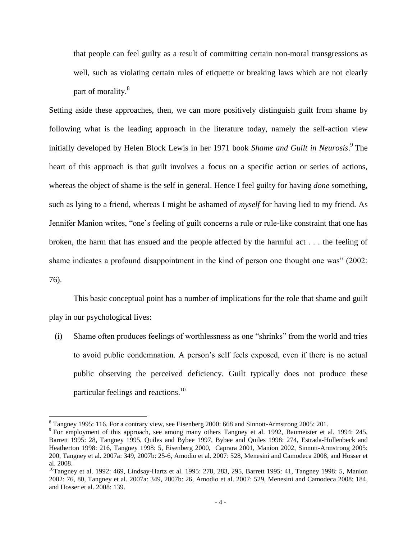that people can feel guilty as a result of committing certain non-moral transgressions as well, such as violating certain rules of etiquette or breaking laws which are not clearly part of morality.<sup>8</sup>

Setting aside these approaches, then, we can more positively distinguish guilt from shame by following what is the leading approach in the literature today, namely the self-action view initially developed by Helen Block Lewis in her 1971 book *Shame and Guilt in Neurosis*. 9 The heart of this approach is that guilt involves a focus on a specific action or series of actions, whereas the object of shame is the self in general. Hence I feel guilty for having *done* something, such as lying to a friend, whereas I might be ashamed of *myself* for having lied to my friend. As Jennifer Manion writes, "one's feeling of guilt concerns a rule or rule-like constraint that one has broken, the harm that has ensued and the people affected by the harmful act . . . the feeling of shame indicates a profound disappointment in the kind of person one thought one was" (2002: 76).

This basic conceptual point has a number of implications for the role that shame and guilt play in our psychological lives:

(i) Shame often produces feelings of worthlessness as one "shrinks" from the world and tries to avoid public condemnation. A person's self feels exposed, even if there is no actual public observing the perceived deficiency. Guilt typically does not produce these particular feelings and reactions.<sup>10</sup>

<sup>&</sup>lt;sup>8</sup> Tangney 1995: 116. For a contrary view, see Eisenberg 2000: 668 and Sinnott-Armstrong 2005: 201.

<sup>&</sup>lt;sup>9</sup> For employment of this approach, see among many others Tangney et al. 1992, Baumeister et al. 1994: 245, Barrett 1995: 28, Tangney 1995, Quiles and Bybee 1997, Bybee and Quiles 1998: 274, Estrada-Hollenbeck and Heatherton 1998: 216, Tangney 1998: 5, Eisenberg 2000, Caprara 2001, Manion 2002, Sinnott-Armstrong 2005: 200, Tangney et al. 2007a: 349, 2007b: 25-6, Amodio et al. 2007: 528, Menesini and Camodeca 2008, and Hosser et al. 2008.

<sup>&</sup>lt;sup>10</sup>Tangney et al. 1992: 469, Lindsay-Hartz et al. 1995: 278, 283, 295, Barrett 1995: 41, Tangney 1998: 5, Manion 2002: 76, 80, Tangney et al. 2007a: 349, 2007b: 26, Amodio et al. 2007: 529, Menesini and Camodeca 2008: 184, and Hosser et al. 2008: 139.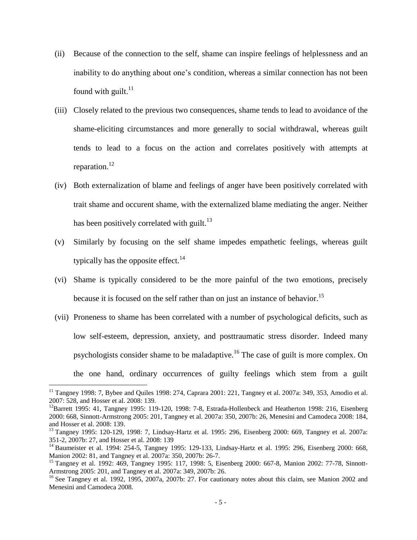- (ii) Because of the connection to the self, shame can inspire feelings of helplessness and an inability to do anything about one"s condition, whereas a similar connection has not been found with guilt.<sup>11</sup>
- (iii) Closely related to the previous two consequences, shame tends to lead to avoidance of the shame-eliciting circumstances and more generally to social withdrawal, whereas guilt tends to lead to a focus on the action and correlates positively with attempts at reparation. $^{12}$
- (iv) Both externalization of blame and feelings of anger have been positively correlated with trait shame and occurent shame, with the externalized blame mediating the anger. Neither has been positively correlated with guilt.<sup>13</sup>
- (v) Similarly by focusing on the self shame impedes empathetic feelings, whereas guilt typically has the opposite effect.<sup>14</sup>
- (vi) Shame is typically considered to be the more painful of the two emotions, precisely because it is focused on the self rather than on just an instance of behavior.<sup>15</sup>
- (vii) Proneness to shame has been correlated with a number of psychological deficits, such as low self-esteem, depression, anxiety, and posttraumatic stress disorder. Indeed many psychologists consider shame to be maladaptive.<sup>16</sup> The case of guilt is more complex. On the one hand, ordinary occurrences of guilty feelings which stem from a guilt

<sup>&</sup>lt;sup>11</sup> Tangney 1998: 7, Bybee and Quiles 1998: 274, Caprara 2001: 221, Tangney et al. 2007a: 349, 353, Amodio et al. 2007: 528, and Hosser et al. 2008: 139.

 $12$ Barrett 1995: 41, Tangney 1995: 119-120, 1998: 7-8, Estrada-Hollenbeck and Heatherton 1998: 216, Eisenberg 2000: 668, Sinnott-Armstrong 2005: 201, Tangney et al. 2007a: 350, 2007b: 26, Menesini and Camodeca 2008: 184, and Hosser et al. 2008: 139.

<sup>13</sup> Tangney 1995: 120-129, 1998: 7, Lindsay-Hartz et al. 1995: 296, Eisenberg 2000: 669, Tangney et al. 2007a: 351-2, 2007b: 27, and Hosser et al. 2008: 139

<sup>&</sup>lt;sup>14</sup> Baumeister et al. 1994: 254-5, Tangney 1995: 129-133, Lindsay-Hartz et al. 1995: 296, Eisenberg 2000: 668, Manion 2002: 81, and Tangney et al. 2007a: 350, 2007b: 26-7.

<sup>&</sup>lt;sup>15</sup> Tangney et al. 1992: 469, Tangney 1995: 117, 1998: 5, Eisenberg 2000: 667-8, Manion 2002: 77-78, Sinnott-Armstrong 2005: 201, and Tangney et al. 2007a: 349, 2007b: 26.

<sup>&</sup>lt;sup>16</sup> See Tangney et al. 1992, 1995, 2007a, 2007b: 27. For cautionary notes about this claim, see Manion 2002 and Menesini and Camodeca 2008.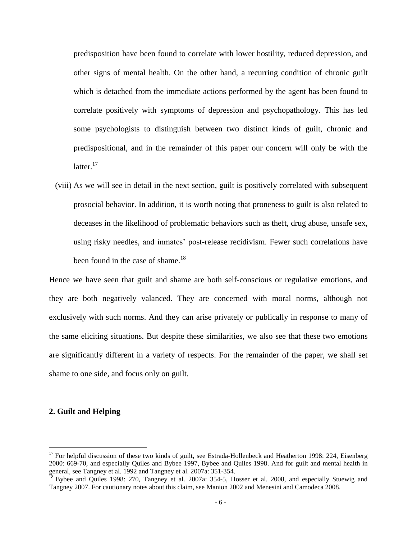predisposition have been found to correlate with lower hostility, reduced depression, and other signs of mental health. On the other hand, a recurring condition of chronic guilt which is detached from the immediate actions performed by the agent has been found to correlate positively with symptoms of depression and psychopathology. This has led some psychologists to distinguish between two distinct kinds of guilt, chronic and predispositional, and in the remainder of this paper our concern will only be with the latter. $17$ 

 (viii) As we will see in detail in the next section, guilt is positively correlated with subsequent prosocial behavior. In addition, it is worth noting that proneness to guilt is also related to deceases in the likelihood of problematic behaviors such as theft, drug abuse, unsafe sex, using risky needles, and inmates' post-release recidivism. Fewer such correlations have been found in the case of shame.<sup>18</sup>

Hence we have seen that guilt and shame are both self-conscious or regulative emotions, and they are both negatively valanced. They are concerned with moral norms, although not exclusively with such norms. And they can arise privately or publically in response to many of the same eliciting situations. But despite these similarities, we also see that these two emotions are significantly different in a variety of respects. For the remainder of the paper, we shall set shame to one side, and focus only on guilt.

## **2. Guilt and Helping**

 $17$  For helpful discussion of these two kinds of guilt, see Estrada-Hollenbeck and Heatherton 1998: 224, Eisenberg 2000: 669-70, and especially Quiles and Bybee 1997, Bybee and Quiles 1998. And for guilt and mental health in general, see Tangney et al. 1992 and Tangney et al. 2007a: 351-354.

<sup>&</sup>lt;sup>18</sup> Bybee and Quiles 1998: 270, Tangney et al. 2007a: 354-5, Hosser et al. 2008, and especially Stuewig and Tangney 2007. For cautionary notes about this claim, see Manion 2002 and Menesini and Camodeca 2008.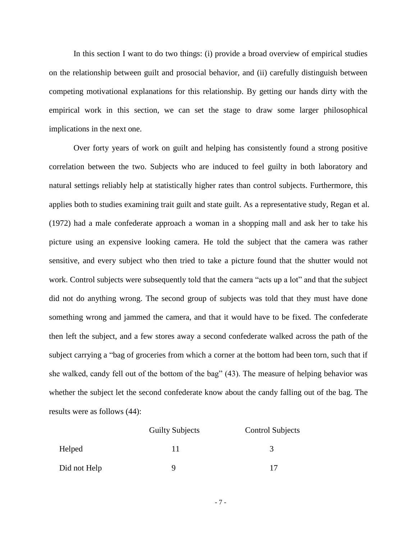In this section I want to do two things: (i) provide a broad overview of empirical studies on the relationship between guilt and prosocial behavior, and (ii) carefully distinguish between competing motivational explanations for this relationship. By getting our hands dirty with the empirical work in this section, we can set the stage to draw some larger philosophical implications in the next one.

Over forty years of work on guilt and helping has consistently found a strong positive correlation between the two. Subjects who are induced to feel guilty in both laboratory and natural settings reliably help at statistically higher rates than control subjects. Furthermore, this applies both to studies examining trait guilt and state guilt. As a representative study, Regan et al. (1972) had a male confederate approach a woman in a shopping mall and ask her to take his picture using an expensive looking camera. He told the subject that the camera was rather sensitive, and every subject who then tried to take a picture found that the shutter would not work. Control subjects were subsequently told that the camera "acts up a lot" and that the subject did not do anything wrong. The second group of subjects was told that they must have done something wrong and jammed the camera, and that it would have to be fixed. The confederate then left the subject, and a few stores away a second confederate walked across the path of the subject carrying a "bag of groceries from which a corner at the bottom had been torn, such that if she walked, candy fell out of the bottom of the bag" (43). The measure of helping behavior was whether the subject let the second confederate know about the candy falling out of the bag. The results were as follows (44):

|              | <b>Guilty Subjects</b> | <b>Control Subjects</b> |
|--------------|------------------------|-------------------------|
| Helped       |                        | 3                       |
| Did not Help |                        |                         |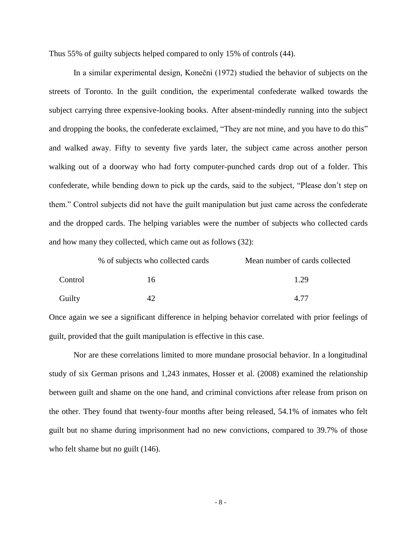Thus 55% of guilty subjects helped compared to only 15% of controls (44).

In a similar experimental design, Konečni (1972) studied the behavior of subjects on the streets of Toronto. In the guilt condition, the experimental confederate walked towards the subject carrying three expensive-looking books. After absent-mindedly running into the subject and dropping the books, the confederate exclaimed, "They are not mine, and you have to do this" and walked away. Fifty to seventy five yards later, the subject came across another person walking out of a doorway who had forty computer-punched cards drop out of a folder. This confederate, while bending down to pick up the cards, said to the subject, "Please don"t step on them." Control subjects did not have the guilt manipulation but just came across the confederate and the dropped cards. The helping variables were the number of subjects who collected cards and how many they collected, which came out as follows (32):

|         | % of subjects who collected cards | Mean number of cards collected |
|---------|-----------------------------------|--------------------------------|
| Control | 16                                | 1.29                           |
| Guilty  |                                   | A 77                           |

Once again we see a significant difference in helping behavior correlated with prior feelings of guilt, provided that the guilt manipulation is effective in this case.

Nor are these correlations limited to more mundane prosocial behavior. In a longitudinal study of six German prisons and 1,243 inmates, Hosser et al. (2008) examined the relationship between guilt and shame on the one hand, and criminal convictions after release from prison on the other. They found that twenty-four months after being released, 54.1% of inmates who felt guilt but no shame during imprisonment had no new convictions, compared to 39.7% of those who felt shame but no guilt (146).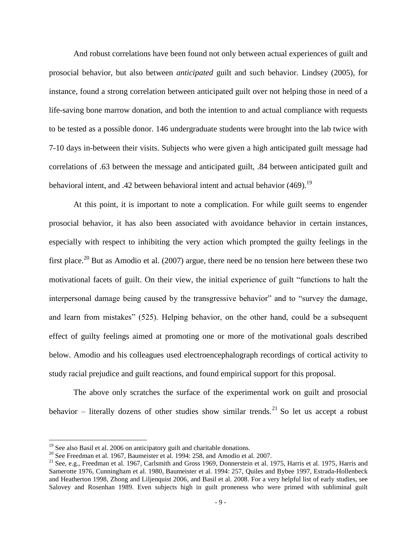And robust correlations have been found not only between actual experiences of guilt and prosocial behavior, but also between *anticipated* guilt and such behavior. Lindsey (2005), for instance, found a strong correlation between anticipated guilt over not helping those in need of a life-saving bone marrow donation, and both the intention to and actual compliance with requests to be tested as a possible donor. 146 undergraduate students were brought into the lab twice with 7-10 days in-between their visits. Subjects who were given a high anticipated guilt message had correlations of .63 between the message and anticipated guilt, .84 between anticipated guilt and behavioral intent, and .42 between behavioral intent and actual behavior  $(469)$ .<sup>19</sup>

At this point, it is important to note a complication. For while guilt seems to engender prosocial behavior, it has also been associated with avoidance behavior in certain instances, especially with respect to inhibiting the very action which prompted the guilty feelings in the first place.<sup>20</sup> But as Amodio et al. (2007) argue, there need be no tension here between these two motivational facets of guilt. On their view, the initial experience of guilt "functions to halt the interpersonal damage being caused by the transgressive behavior" and to "survey the damage, and learn from mistakes" (525). Helping behavior, on the other hand, could be a subsequent effect of guilty feelings aimed at promoting one or more of the motivational goals described below. Amodio and his colleagues used electroencephalograph recordings of cortical activity to study racial prejudice and guilt reactions, and found empirical support for this proposal.

The above only scratches the surface of the experimental work on guilt and prosocial behavior – literally dozens of other studies show similar trends.<sup>21</sup> So let us accept a robust

 $19$  See also Basil et al. 2006 on anticipatory guilt and charitable donations.

<sup>&</sup>lt;sup>20</sup> See Freedman et al. 1967, Baumeister et al. 1994: 258, and Amodio et al. 2007.

<sup>&</sup>lt;sup>21</sup> See, e.g., Freedman et al. 1967, Carlsmith and Gross 1969, Donnerstein et al. 1975, Harris et al. 1975, Harris and Samerotte 1976, Cunningham et al. 1980, Baumeister et al. 1994: 257, Quiles and Bybee 1997, Estrada-Hollenbeck and Heatherton 1998, Zhong and Liljenquist 2006, and Basil et al. 2008. For a very helpful list of early studies, see Salovey and Rosenhan 1989. Even subjects high in guilt proneness who were primed with subliminal guilt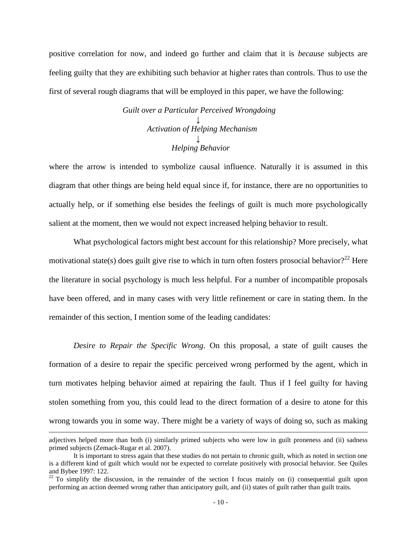positive correlation for now, and indeed go further and claim that it is *because* subjects are feeling guilty that they are exhibiting such behavior at higher rates than controls. Thus to use the first of several rough diagrams that will be employed in this paper, we have the following:

> *Guilt over a Particular Perceived Wrongdoing ↓ Activation of Helping Mechanism ↓ Helping Behavior*

where the arrow is intended to symbolize causal influence. Naturally it is assumed in this diagram that other things are being held equal since if, for instance, there are no opportunities to actually help, or if something else besides the feelings of guilt is much more psychologically salient at the moment, then we would not expect increased helping behavior to result.

What psychological factors might best account for this relationship? More precisely, what motivational state(s) does guilt give rise to which in turn often fosters prosocial behavior?<sup>22</sup> Here the literature in social psychology is much less helpful. For a number of incompatible proposals have been offered, and in many cases with very little refinement or care in stating them. In the remainder of this section, I mention some of the leading candidates:

*Desire to Repair the Specific Wrong*. On this proposal, a state of guilt causes the formation of a desire to repair the specific perceived wrong performed by the agent, which in turn motivates helping behavior aimed at repairing the fault. Thus if I feel guilty for having stolen something from you, this could lead to the direct formation of a desire to atone for this wrong towards you in some way. There might be a variety of ways of doing so, such as making

adjectives helped more than both (i) similarly primed subjects who were low in guilt proneness and (ii) sadness primed subjects (Zemack-Rugar et al. 2007).

It is important to stress again that these studies do not pertain to chronic guilt, which as noted in section one is a different kind of guilt which would not be expected to correlate positively with prosocial behavior. See Quiles and Bybee 1997: 122.

 $22$  To simplify the discussion, in the remainder of the section I focus mainly on (i) consequential guilt upon performing an action deemed wrong rather than anticipatory guilt, and (ii) states of guilt rather than guilt traits.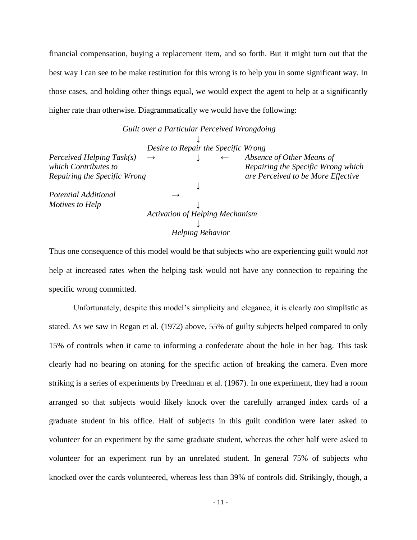financial compensation, buying a replacement item, and so forth. But it might turn out that the best way I can see to be make restitution for this wrong is to help you in some significant way. In those cases, and holding other things equal, we would expect the agent to help at a significantly higher rate than otherwise. Diagrammatically we would have the following:

|                              | Guilt over a Particular Perceived Wrongdoing |                         |                                    |
|------------------------------|----------------------------------------------|-------------------------|------------------------------------|
|                              |                                              |                         |                                    |
|                              | Desire to Repair the Specific Wrong          |                         |                                    |
| Perceived Helping Task(s)    | $\rightarrow$                                |                         | Absence of Other Means of          |
| which Contributes to         |                                              |                         | Repairing the Specific Wrong which |
| Repairing the Specific Wrong |                                              |                         | are Perceived to be More Effective |
|                              |                                              |                         |                                    |
| Potential Additional         |                                              |                         |                                    |
| Motives to Help              |                                              |                         |                                    |
|                              | <b>Activation of Helping Mechanism</b>       |                         |                                    |
|                              |                                              |                         |                                    |
|                              |                                              | <b>Helping Behavior</b> |                                    |

Thus one consequence of this model would be that subjects who are experiencing guilt would *not* help at increased rates when the helping task would not have any connection to repairing the specific wrong committed.

Unfortunately, despite this model"s simplicity and elegance, it is clearly *too* simplistic as stated. As we saw in Regan et al. (1972) above, 55% of guilty subjects helped compared to only 15% of controls when it came to informing a confederate about the hole in her bag. This task clearly had no bearing on atoning for the specific action of breaking the camera. Even more striking is a series of experiments by Freedman et al. (1967). In one experiment, they had a room arranged so that subjects would likely knock over the carefully arranged index cards of a graduate student in his office. Half of subjects in this guilt condition were later asked to volunteer for an experiment by the same graduate student, whereas the other half were asked to volunteer for an experiment run by an unrelated student. In general 75% of subjects who knocked over the cards volunteered, whereas less than 39% of controls did. Strikingly, though, a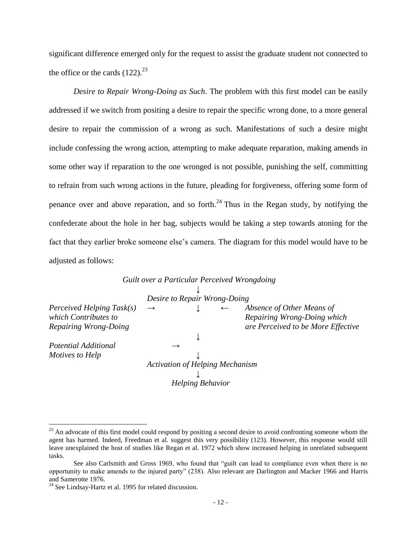significant difference emerged only for the request to assist the graduate student not connected to the office or the cards  $(122)^{23}$ 

*Desire to Repair Wrong-Doing as Such*. The problem with this first model can be easily addressed if we switch from positing a desire to repair the specific wrong done, to a more general desire to repair the commission of a wrong as such. Manifestations of such a desire might include confessing the wrong action, attempting to make adequate reparation, making amends in some other way if reparation to the one wronged is not possible, punishing the self, committing to refrain from such wrong actions in the future, pleading for forgiveness, offering some form of penance over and above reparation, and so forth.<sup>24</sup> Thus in the Regan study, by notifying the confederate about the hole in her bag, subjects would be taking a step towards atoning for the fact that they earlier broke someone else's camera. The diagram for this model would have to be adjusted as follows:

| $\rightarrow$ |  | Absence of Other Means of                                                                                                                         |
|---------------|--|---------------------------------------------------------------------------------------------------------------------------------------------------|
|               |  | Repairing Wrong-Doing which                                                                                                                       |
|               |  | are Perceived to be More Effective                                                                                                                |
|               |  |                                                                                                                                                   |
|               |  |                                                                                                                                                   |
|               |  |                                                                                                                                                   |
|               |  |                                                                                                                                                   |
|               |  |                                                                                                                                                   |
|               |  |                                                                                                                                                   |
|               |  | Guilt over a Particular Perceived Wrongdoing<br>Desire to Repair Wrong-Doing<br><b>Activation of Helping Mechanism</b><br><b>Helping Behavior</b> |

*Guilt over a Particular Perceived Wrongdoing*

 $^{23}$  An advocate of this first model could respond by positing a second desire to avoid confronting someone whom the agent has harmed. Indeed, Freedman et al. suggest this very possibility (123). However, this response would still leave unexplained the host of studies like Regan et al. 1972 which show increased helping in unrelated subsequent tasks.

See also Carlsmith and Gross 1969, who found that "guilt can lead to compliance even when there is no opportunity to make amends to the injured party" (238). Also relevant are Darlington and Macker 1966 and Harris and Samerotte 1976.

 $24$  See Lindsay-Hartz et al. 1995 for related discussion.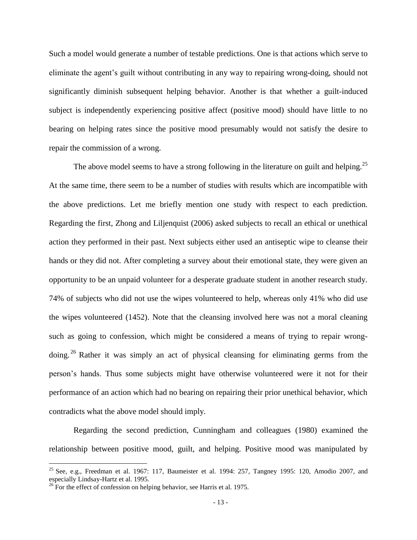Such a model would generate a number of testable predictions. One is that actions which serve to eliminate the agent"s guilt without contributing in any way to repairing wrong-doing, should not significantly diminish subsequent helping behavior. Another is that whether a guilt-induced subject is independently experiencing positive affect (positive mood) should have little to no bearing on helping rates since the positive mood presumably would not satisfy the desire to repair the commission of a wrong.

The above model seems to have a strong following in the literature on guilt and helping.<sup>25</sup> At the same time, there seem to be a number of studies with results which are incompatible with the above predictions. Let me briefly mention one study with respect to each prediction. Regarding the first, Zhong and Liljenquist (2006) asked subjects to recall an ethical or unethical action they performed in their past. Next subjects either used an antiseptic wipe to cleanse their hands or they did not. After completing a survey about their emotional state, they were given an opportunity to be an unpaid volunteer for a desperate graduate student in another research study. 74% of subjects who did not use the wipes volunteered to help, whereas only 41% who did use the wipes volunteered (1452). Note that the cleansing involved here was not a moral cleaning such as going to confession, which might be considered a means of trying to repair wrongdoing. <sup>26</sup> Rather it was simply an act of physical cleansing for eliminating germs from the person"s hands. Thus some subjects might have otherwise volunteered were it not for their performance of an action which had no bearing on repairing their prior unethical behavior, which contradicts what the above model should imply.

Regarding the second prediction, Cunningham and colleagues (1980) examined the relationship between positive mood, guilt, and helping. Positive mood was manipulated by

<sup>&</sup>lt;sup>25</sup> See, e.g., Freedman et al. 1967: 117, Baumeister et al. 1994: 257, Tangney 1995: 120, Amodio 2007, and especially Lindsay-Hartz et al. 1995.

 $^{26}$  For the effect of confession on helping behavior, see Harris et al. 1975.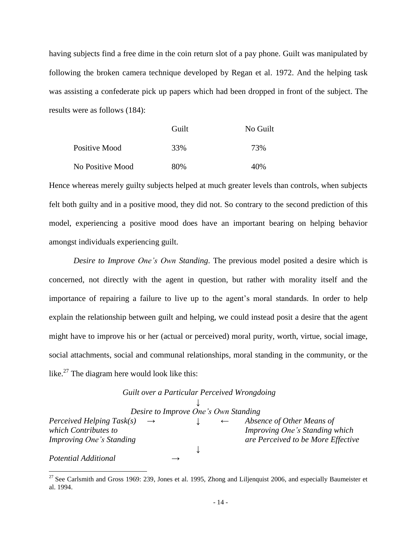having subjects find a free dime in the coin return slot of a pay phone. Guilt was manipulated by following the broken camera technique developed by Regan et al. 1972. And the helping task was assisting a confederate pick up papers which had been dropped in front of the subject. The results were as follows (184):

|                  | Guilt | No Guilt |
|------------------|-------|----------|
| Positive Mood    | 33%   | 73%      |
| No Positive Mood | 80%   | 40%      |

Hence whereas merely guilty subjects helped at much greater levels than controls, when subjects felt both guilty and in a positive mood, they did not. So contrary to the second prediction of this model, experiencing a positive mood does have an important bearing on helping behavior amongst individuals experiencing guilt.

*Desire to Improve One's Own Standing*. The previous model posited a desire which is concerned, not directly with the agent in question, but rather with morality itself and the importance of repairing a failure to live up to the agent"s moral standards. In order to help explain the relationship between guilt and helping, we could instead posit a desire that the agent might have to improve his or her (actual or perceived) moral purity, worth, virtue, social image, social attachments, social and communal relationships, moral standing in the community, or the like. $27$  The diagram here would look like this:

### *Guilt over a Particular Perceived Wrongdoing*

| Desire to Improve One's Own Standing       |  |  |  |                                    |
|--------------------------------------------|--|--|--|------------------------------------|
| Perceived Helping Task(s)<br>$\rightarrow$ |  |  |  | Absence of Other Means of          |
| which Contributes to                       |  |  |  | Improving One's Standing which     |
| Improving One's Standing                   |  |  |  | are Perceived to be More Effective |
|                                            |  |  |  |                                    |
| Potential Additional                       |  |  |  |                                    |

 $27$  See Carlsmith and Gross 1969: 239, Jones et al. 1995, Zhong and Liljenquist 2006, and especially Baumeister et al. 1994.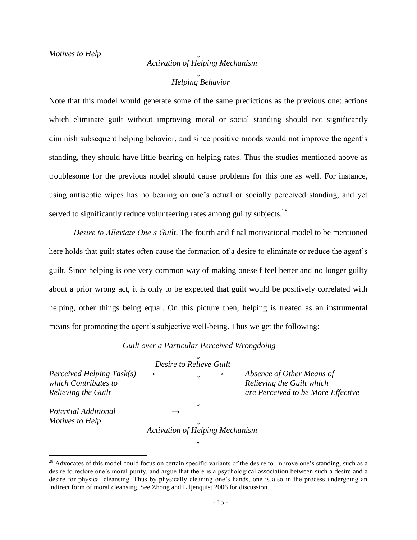$\overline{a}$ 

# *Activation of Helping Mechanism ↓ Helping Behavior*

Note that this model would generate some of the same predictions as the previous one: actions which eliminate guilt without improving moral or social standing should not significantly diminish subsequent helping behavior, and since positive moods would not improve the agent's standing, they should have little bearing on helping rates. Thus the studies mentioned above as troublesome for the previous model should cause problems for this one as well. For instance, using antiseptic wipes has no bearing on one's actual or socially perceived standing, and yet served to significantly reduce volunteering rates among guilty subjects.<sup>28</sup>

*Desire to Alleviate One's Guilt*. The fourth and final motivational model to be mentioned here holds that guilt states often cause the formation of a desire to eliminate or reduce the agent's guilt. Since helping is one very common way of making oneself feel better and no longer guilty about a prior wrong act, it is only to be expected that guilt would be positively correlated with helping, other things being equal. On this picture then, helping is treated as an instrumental means for promoting the agent's subjective well-being. Thus we get the following:

## *Guilt over a Particular Perceived Wrongdoing*

|                            | Desire to Relieve Guilt                |              |                                    |
|----------------------------|----------------------------------------|--------------|------------------------------------|
| Perceived Helping Task(s)  | $\rightarrow$                          | $\leftarrow$ | Absence of Other Means of          |
| which Contributes to       |                                        |              | Relieving the Guilt which          |
| <b>Relieving the Guilt</b> |                                        |              | are Perceived to be More Effective |
|                            |                                        |              |                                    |
| Potential Additional       |                                        |              |                                    |
| Motives to Help            |                                        |              |                                    |
|                            | <b>Activation of Helping Mechanism</b> |              |                                    |
|                            |                                        |              |                                    |

 $28$  Advocates of this model could focus on certain specific variants of the desire to improve one's standing, such as a desire to restore one"s moral purity, and argue that there is a psychological association between such a desire and a desire for physical cleansing. Thus by physically cleaning one's hands, one is also in the process undergoing an indirect form of moral cleansing. See Zhong and Liljenquist 2006 for discussion.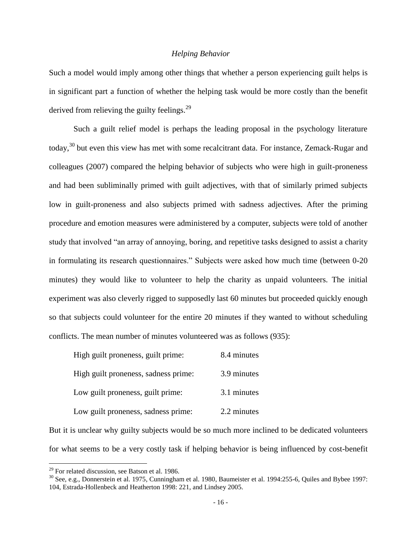## *Helping Behavior*

Such a model would imply among other things that whether a person experiencing guilt helps is in significant part a function of whether the helping task would be more costly than the benefit derived from relieving the guilty feelings. $29$ 

Such a guilt relief model is perhaps the leading proposal in the psychology literature today,<sup>30</sup> but even this view has met with some recalcitrant data. For instance, Zemack-Rugar and colleagues (2007) compared the helping behavior of subjects who were high in guilt-proneness and had been subliminally primed with guilt adjectives, with that of similarly primed subjects low in guilt-proneness and also subjects primed with sadness adjectives. After the priming procedure and emotion measures were administered by a computer, subjects were told of another study that involved "an array of annoying, boring, and repetitive tasks designed to assist a charity in formulating its research questionnaires." Subjects were asked how much time (between 0-20 minutes) they would like to volunteer to help the charity as unpaid volunteers. The initial experiment was also cleverly rigged to supposedly last 60 minutes but proceeded quickly enough so that subjects could volunteer for the entire 20 minutes if they wanted to without scheduling conflicts. The mean number of minutes volunteered was as follows (935):

| High guilt proneness, guilt prime:   | 8.4 minutes |
|--------------------------------------|-------------|
| High guilt proneness, sadness prime: | 3.9 minutes |
| Low guilt proneness, guilt prime:    | 3.1 minutes |
| Low guilt proneness, sadness prime:  | 2.2 minutes |

But it is unclear why guilty subjects would be so much more inclined to be dedicated volunteers for what seems to be a very costly task if helping behavior is being influenced by cost-benefit

 $29$  For related discussion, see Batson et al. 1986.

 $30$  See, e.g., Donnerstein et al. 1975, Cunningham et al. 1980, Baumeister et al. 1994:255-6, Quiles and Bybee 1997: 104, Estrada-Hollenbeck and Heatherton 1998: 221, and Lindsey 2005.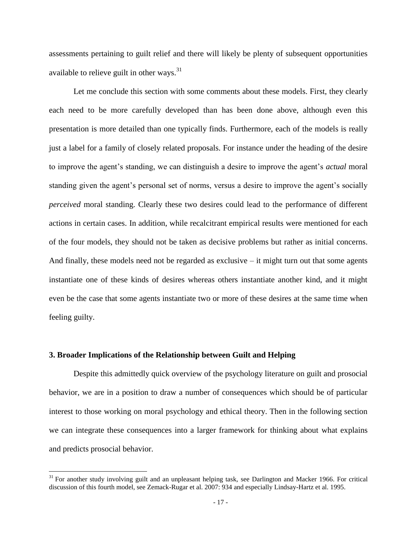assessments pertaining to guilt relief and there will likely be plenty of subsequent opportunities available to relieve guilt in other ways.<sup>31</sup>

Let me conclude this section with some comments about these models. First, they clearly each need to be more carefully developed than has been done above, although even this presentation is more detailed than one typically finds. Furthermore, each of the models is really just a label for a family of closely related proposals. For instance under the heading of the desire to improve the agent's standing, we can distinguish a desire to improve the agent's *actual* moral standing given the agent's personal set of norms, versus a desire to improve the agent's socially *perceived* moral standing. Clearly these two desires could lead to the performance of different actions in certain cases. In addition, while recalcitrant empirical results were mentioned for each of the four models, they should not be taken as decisive problems but rather as initial concerns. And finally, these models need not be regarded as exclusive  $-$  it might turn out that some agents instantiate one of these kinds of desires whereas others instantiate another kind, and it might even be the case that some agents instantiate two or more of these desires at the same time when feeling guilty.

#### **3. Broader Implications of the Relationship between Guilt and Helping**

 $\overline{a}$ 

Despite this admittedly quick overview of the psychology literature on guilt and prosocial behavior, we are in a position to draw a number of consequences which should be of particular interest to those working on moral psychology and ethical theory. Then in the following section we can integrate these consequences into a larger framework for thinking about what explains and predicts prosocial behavior.

 $31$  For another study involving guilt and an unpleasant helping task, see Darlington and Macker 1966. For critical discussion of this fourth model, see Zemack-Rugar et al. 2007: 934 and especially Lindsay-Hartz et al. 1995.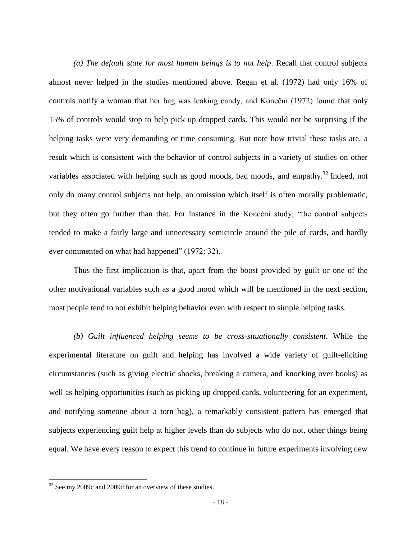*(a) The default state for most human beings is to not help*. Recall that control subjects almost never helped in the studies mentioned above. Regan et al. (1972) had only 16% of controls notify a woman that her bag was leaking candy, and Konečni (1972) found that only 15% of controls would stop to help pick up dropped cards. This would not be surprising if the helping tasks were very demanding or time consuming. But note how trivial these tasks are, a result which is consistent with the behavior of control subjects in a variety of studies on other variables associated with helping such as good moods, bad moods, and empathy.<sup>32</sup> Indeed, not only do many control subjects not help, an omission which itself is often morally problematic, but they often go further than that. For instance in the Konečni study, "the control subjects tended to make a fairly large and unnecessary semicircle around the pile of cards, and hardly ever commented on what had happened" (1972: 32).

Thus the first implication is that, apart from the boost provided by guilt or one of the other motivational variables such as a good mood which will be mentioned in the next section, most people tend to not exhibit helping behavior even with respect to simple helping tasks.

*(b) Guilt influenced helping seems to be cross-situationally consistent*. While the experimental literature on guilt and helping has involved a wide variety of guilt-eliciting circumstances (such as giving electric shocks, breaking a camera, and knocking over books) as well as helping opportunities (such as picking up dropped cards, volunteering for an experiment, and notifying someone about a torn bag), a remarkably consistent pattern has emerged that subjects experiencing guilt help at higher levels than do subjects who do not, other things being equal. We have every reason to expect this trend to continue in future experiments involving new

<sup>&</sup>lt;sup>32</sup> See my 2009c and 2009d for an overview of these studies.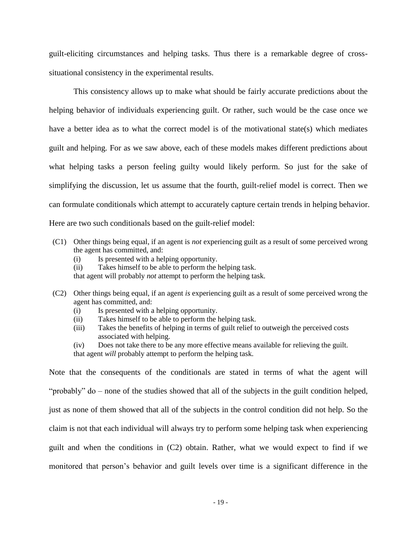guilt-eliciting circumstances and helping tasks. Thus there is a remarkable degree of crosssituational consistency in the experimental results.

This consistency allows up to make what should be fairly accurate predictions about the helping behavior of individuals experiencing guilt. Or rather, such would be the case once we have a better idea as to what the correct model is of the motivational state(s) which mediates guilt and helping. For as we saw above, each of these models makes different predictions about what helping tasks a person feeling guilty would likely perform. So just for the sake of simplifying the discussion, let us assume that the fourth, guilt-relief model is correct. Then we can formulate conditionals which attempt to accurately capture certain trends in helping behavior. Here are two such conditionals based on the guilt-relief model:

- (C1) Other things being equal, if an agent is *not* experiencing guilt as a result of some perceived wrong the agent has committed, and:
	- (i) Is presented with a helping opportunity.
	- (ii) Takes himself to be able to perform the helping task.

that agent will probably *not* attempt to perform the helping task.

- (C2) Other things being equal, if an agent *is* experiencing guilt as a result of some perceived wrong the agent has committed, and:
	- (i) Is presented with a helping opportunity.
	- (ii) Takes himself to be able to perform the helping task.
	- (iii) Takes the benefits of helping in terms of guilt relief to outweigh the perceived costs associated with helping.
	- (iv) Does not take there to be any more effective means available for relieving the guilt. that agent *will* probably attempt to perform the helping task.

Note that the consequents of the conditionals are stated in terms of what the agent will "probably" do – none of the studies showed that all of the subjects in the guilt condition helped, just as none of them showed that all of the subjects in the control condition did not help. So the claim is not that each individual will always try to perform some helping task when experiencing guilt and when the conditions in (C2) obtain. Rather, what we would expect to find if we monitored that person"s behavior and guilt levels over time is a significant difference in the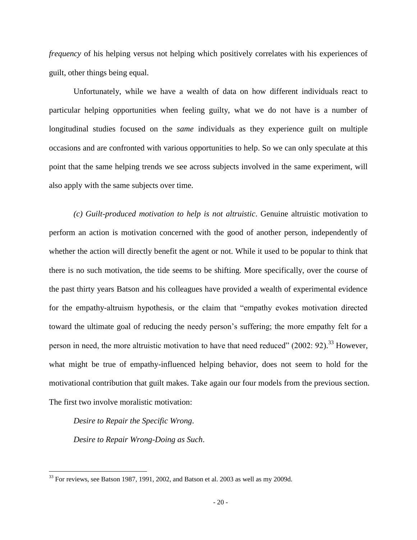*frequency* of his helping versus not helping which positively correlates with his experiences of guilt, other things being equal.

Unfortunately, while we have a wealth of data on how different individuals react to particular helping opportunities when feeling guilty, what we do not have is a number of longitudinal studies focused on the *same* individuals as they experience guilt on multiple occasions and are confronted with various opportunities to help. So we can only speculate at this point that the same helping trends we see across subjects involved in the same experiment, will also apply with the same subjects over time.

*(c) Guilt-produced motivation to help is not altruistic*. Genuine altruistic motivation to perform an action is motivation concerned with the good of another person, independently of whether the action will directly benefit the agent or not. While it used to be popular to think that there is no such motivation, the tide seems to be shifting. More specifically, over the course of the past thirty years Batson and his colleagues have provided a wealth of experimental evidence for the empathy-altruism hypothesis, or the claim that "empathy evokes motivation directed toward the ultimate goal of reducing the needy person"s suffering; the more empathy felt for a person in need, the more altruistic motivation to have that need reduced" (2002: 92).<sup>33</sup> However, what might be true of empathy-influenced helping behavior, does not seem to hold for the motivational contribution that guilt makes. Take again our four models from the previous section. The first two involve moralistic motivation:

*Desire to Repair the Specific Wrong*.

 $\overline{a}$ 

*Desire to Repair Wrong-Doing as Such*.

 $33$  For reviews, see Batson 1987, 1991, 2002, and Batson et al. 2003 as well as my 2009d.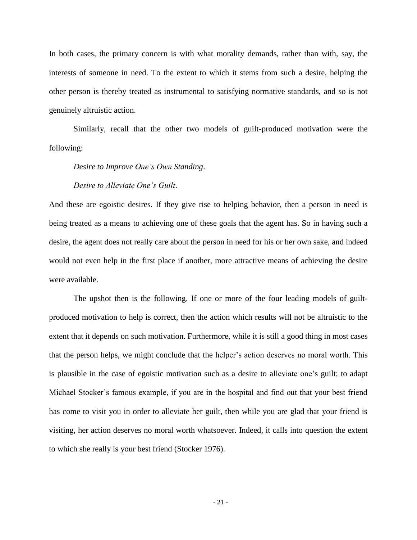In both cases, the primary concern is with what morality demands, rather than with, say, the interests of someone in need. To the extent to which it stems from such a desire, helping the other person is thereby treated as instrumental to satisfying normative standards, and so is not genuinely altruistic action.

Similarly, recall that the other two models of guilt-produced motivation were the following:

### *Desire to Improve One's Own Standing*.

#### *Desire to Alleviate One's Guilt*.

And these are egoistic desires. If they give rise to helping behavior, then a person in need is being treated as a means to achieving one of these goals that the agent has. So in having such a desire, the agent does not really care about the person in need for his or her own sake, and indeed would not even help in the first place if another, more attractive means of achieving the desire were available.

The upshot then is the following. If one or more of the four leading models of guiltproduced motivation to help is correct, then the action which results will not be altruistic to the extent that it depends on such motivation. Furthermore, while it is still a good thing in most cases that the person helps, we might conclude that the helper"s action deserves no moral worth. This is plausible in the case of egoistic motivation such as a desire to alleviate one"s guilt; to adapt Michael Stocker"s famous example, if you are in the hospital and find out that your best friend has come to visit you in order to alleviate her guilt, then while you are glad that your friend is visiting, her action deserves no moral worth whatsoever. Indeed, it calls into question the extent to which she really is your best friend (Stocker 1976).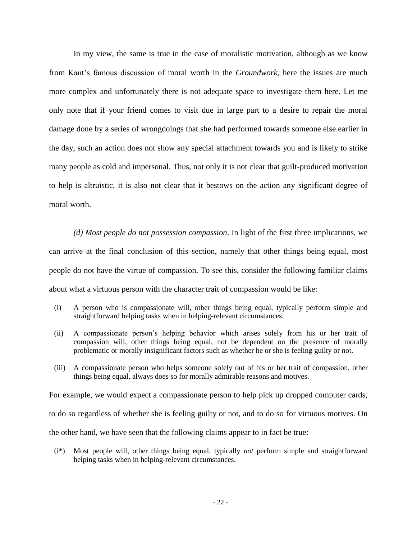In my view, the same is true in the case of moralistic motivation, although as we know from Kant"s famous discussion of moral worth in the *Groundwork*, here the issues are much more complex and unfortunately there is not adequate space to investigate them here. Let me only note that if your friend comes to visit due in large part to a desire to repair the moral damage done by a series of wrongdoings that she had performed towards someone else earlier in the day, such an action does not show any special attachment towards you and is likely to strike many people as cold and impersonal. Thus, not only it is not clear that guilt-produced motivation to help is altruistic, it is also not clear that it bestows on the action any significant degree of moral worth.

*(d) Most people do not possession compassion*. In light of the first three implications, we can arrive at the final conclusion of this section, namely that other things being equal, most people do not have the virtue of compassion. To see this, consider the following familiar claims about what a virtuous person with the character trait of compassion would be like:

- (i) A person who is compassionate will, other things being equal, typically perform simple and straightforward helping tasks when in helping-relevant circumstances.
- (ii) A compassionate person"s helping behavior which arises solely from his or her trait of compassion will, other things being equal, not be dependent on the presence of morally problematic or morally insignificant factors such as whether he or she is feeling guilty or not.
- (iii) A compassionate person who helps someone solely out of his or her trait of compassion, other things being equal, always does so for morally admirable reasons and motives.

For example, we would expect a compassionate person to help pick up dropped computer cards,

to do so regardless of whether she is feeling guilty or not, and to do so for virtuous motives. On

the other hand, we have seen that the following claims appear to in fact be true:

(i\*) Most people will, other things being equal, typically *not* perform simple and straightforward helping tasks when in helping-relevant circumstances.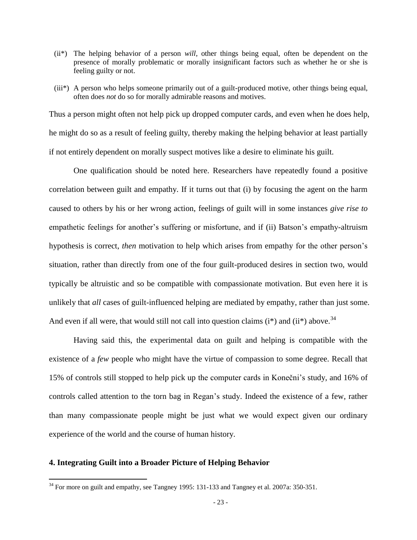- (ii\*) The helping behavior of a person *will*, other things being equal, often be dependent on the presence of morally problematic or morally insignificant factors such as whether he or she is feeling guilty or not.
- (iii\*) A person who helps someone primarily out of a guilt-produced motive, other things being equal, often does *not* do so for morally admirable reasons and motives.

Thus a person might often not help pick up dropped computer cards, and even when he does help, he might do so as a result of feeling guilty, thereby making the helping behavior at least partially if not entirely dependent on morally suspect motives like a desire to eliminate his guilt.

One qualification should be noted here. Researchers have repeatedly found a positive correlation between guilt and empathy. If it turns out that (i) by focusing the agent on the harm caused to others by his or her wrong action, feelings of guilt will in some instances *give rise to* empathetic feelings for another's suffering or misfortune, and if (ii) Batson's empathy-altruism hypothesis is correct, *then* motivation to help which arises from empathy for the other person's situation, rather than directly from one of the four guilt-produced desires in section two, would typically be altruistic and so be compatible with compassionate motivation. But even here it is unlikely that *all* cases of guilt-influenced helping are mediated by empathy, rather than just some. And even if all were, that would still not call into question claims  $(i^*)$  and  $(ii^*)$  above.<sup>34</sup>

Having said this, the experimental data on guilt and helping is compatible with the existence of a *few* people who might have the virtue of compassion to some degree. Recall that 15% of controls still stopped to help pick up the computer cards in Konečni"s study, and 16% of controls called attention to the torn bag in Regan"s study. Indeed the existence of a few, rather than many compassionate people might be just what we would expect given our ordinary experience of the world and the course of human history.

#### **4. Integrating Guilt into a Broader Picture of Helping Behavior**

 $34$  For more on guilt and empathy, see Tangney 1995: 131-133 and Tangney et al. 2007a: 350-351.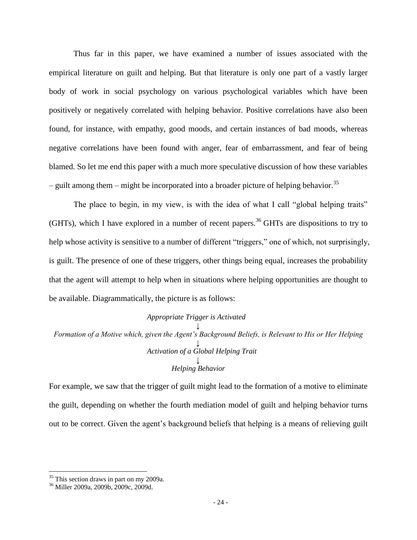Thus far in this paper, we have examined a number of issues associated with the empirical literature on guilt and helping. But that literature is only one part of a vastly larger body of work in social psychology on various psychological variables which have been positively or negatively correlated with helping behavior. Positive correlations have also been found, for instance, with empathy, good moods, and certain instances of bad moods, whereas negative correlations have been found with anger, fear of embarrassment, and fear of being blamed. So let me end this paper with a much more speculative discussion of how these variables – guilt among them – might be incorporated into a broader picture of helping behavior.<sup>35</sup>

The place to begin, in my view, is with the idea of what I call "global helping traits" (GHTs), which I have explored in a number of recent papers.<sup>36</sup> GHTs are dispositions to try to help whose activity is sensitive to a number of different "triggers," one of which, not surprisingly, is guilt. The presence of one of these triggers, other things being equal, increases the probability that the agent will attempt to help when in situations where helping opportunities are thought to be available. Diagrammatically, the picture is as follows:

## *Appropriate Trigger is Activated ↓ Formation of a Motive which, given the Agent's Background Beliefs, is Relevant to His or Her Helping ↓ Activation of a Global Helping Trait ↓ Helping Behavior*

For example, we saw that the trigger of guilt might lead to the formation of a motive to eliminate the guilt, depending on whether the fourth mediation model of guilt and helping behavior turns out to be correct. Given the agent's background beliefs that helping is a means of relieving guilt

<sup>&</sup>lt;sup>35</sup> This section draws in part on my 2009a.

<sup>36</sup> Miller 2009a, 2009b, 2009c, 2009d.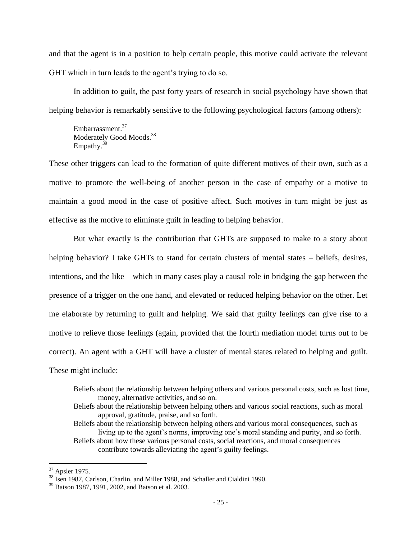and that the agent is in a position to help certain people, this motive could activate the relevant GHT which in turn leads to the agent's trying to do so.

In addition to guilt, the past forty years of research in social psychology have shown that helping behavior is remarkably sensitive to the following psychological factors (among others):

Embarrassment.<sup>37</sup> Moderately Good Moods.<sup>38</sup> Empathy. $3<sup>5</sup>$ 

These other triggers can lead to the formation of quite different motives of their own, such as a motive to promote the well-being of another person in the case of empathy or a motive to maintain a good mood in the case of positive affect. Such motives in turn might be just as effective as the motive to eliminate guilt in leading to helping behavior.

But what exactly is the contribution that GHTs are supposed to make to a story about helping behavior? I take GHTs to stand for certain clusters of mental states – beliefs, desires, intentions, and the like – which in many cases play a causal role in bridging the gap between the presence of a trigger on the one hand, and elevated or reduced helping behavior on the other. Let me elaborate by returning to guilt and helping. We said that guilty feelings can give rise to a motive to relieve those feelings (again, provided that the fourth mediation model turns out to be correct). An agent with a GHT will have a cluster of mental states related to helping and guilt. These might include:

- Beliefs about the relationship between helping others and various personal costs, such as lost time, money, alternative activities, and so on.
- Beliefs about the relationship between helping others and various social reactions, such as moral approval, gratitude, praise, and so forth.
- Beliefs about the relationship between helping others and various moral consequences, such as living up to the agent's norms, improving one's moral standing and purity, and so forth. Beliefs about how these various personal costs, social reactions, and moral consequences contribute towards alleviating the agent's guilty feelings.

<sup>37</sup> Apsler 1975.

<sup>&</sup>lt;sup>38</sup> Isen 1987, Carlson, Charlin, and Miller 1988, and Schaller and Cialdini 1990.

<sup>39</sup> Batson 1987, 1991, 2002, and Batson et al. 2003.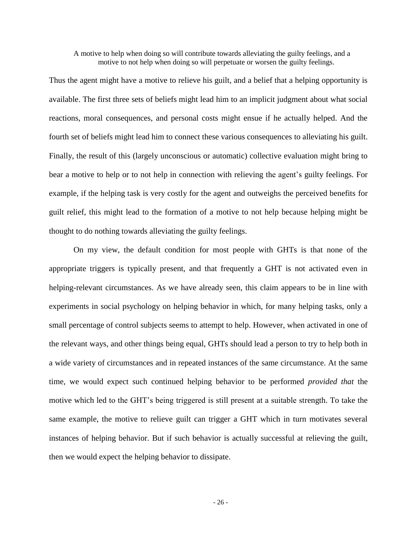A motive to help when doing so will contribute towards alleviating the guilty feelings, and a motive to not help when doing so will perpetuate or worsen the guilty feelings.

Thus the agent might have a motive to relieve his guilt, and a belief that a helping opportunity is available. The first three sets of beliefs might lead him to an implicit judgment about what social reactions, moral consequences, and personal costs might ensue if he actually helped. And the fourth set of beliefs might lead him to connect these various consequences to alleviating his guilt. Finally, the result of this (largely unconscious or automatic) collective evaluation might bring to bear a motive to help or to not help in connection with relieving the agent"s guilty feelings. For example, if the helping task is very costly for the agent and outweighs the perceived benefits for guilt relief, this might lead to the formation of a motive to not help because helping might be thought to do nothing towards alleviating the guilty feelings.

On my view, the default condition for most people with GHTs is that none of the appropriate triggers is typically present, and that frequently a GHT is not activated even in helping-relevant circumstances. As we have already seen, this claim appears to be in line with experiments in social psychology on helping behavior in which, for many helping tasks, only a small percentage of control subjects seems to attempt to help. However, when activated in one of the relevant ways, and other things being equal, GHTs should lead a person to try to help both in a wide variety of circumstances and in repeated instances of the same circumstance. At the same time, we would expect such continued helping behavior to be performed *provided that* the motive which led to the GHT"s being triggered is still present at a suitable strength. To take the same example, the motive to relieve guilt can trigger a GHT which in turn motivates several instances of helping behavior. But if such behavior is actually successful at relieving the guilt, then we would expect the helping behavior to dissipate.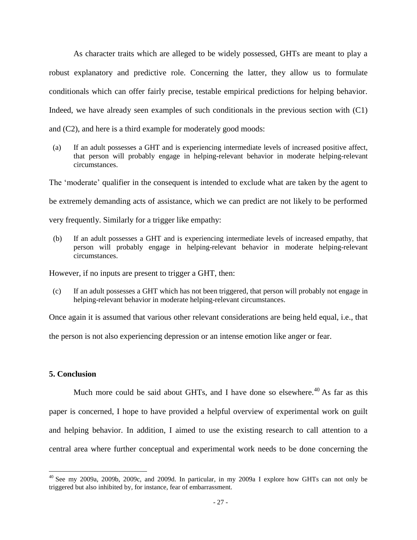As character traits which are alleged to be widely possessed, GHTs are meant to play a robust explanatory and predictive role. Concerning the latter, they allow us to formulate conditionals which can offer fairly precise, testable empirical predictions for helping behavior. Indeed, we have already seen examples of such conditionals in the previous section with (C1) and (C2), and here is a third example for moderately good moods:

 (a) If an adult possesses a GHT and is experiencing intermediate levels of increased positive affect, that person will probably engage in helping-relevant behavior in moderate helping-relevant circumstances.

The 'moderate' qualifier in the consequent is intended to exclude what are taken by the agent to be extremely demanding acts of assistance, which we can predict are not likely to be performed very frequently. Similarly for a trigger like empathy:

(b) If an adult possesses a GHT and is experiencing intermediate levels of increased empathy, that person will probably engage in helping-relevant behavior in moderate helping-relevant circumstances.

However, if no inputs are present to trigger a GHT, then:

 (c) If an adult possesses a GHT which has not been triggered, that person will probably not engage in helping-relevant behavior in moderate helping-relevant circumstances.

Once again it is assumed that various other relevant considerations are being held equal, i.e., that

the person is not also experiencing depression or an intense emotion like anger or fear.

## **5. Conclusion**

 $\overline{a}$ 

Much more could be said about GHTs, and I have done so elsewhere.<sup>40</sup> As far as this paper is concerned, I hope to have provided a helpful overview of experimental work on guilt and helping behavior. In addition, I aimed to use the existing research to call attention to a central area where further conceptual and experimental work needs to be done concerning the

<sup>40</sup> See my 2009a, 2009b, 2009c, and 2009d. In particular, in my 2009a I explore how GHTs can not only be triggered but also inhibited by, for instance, fear of embarrassment.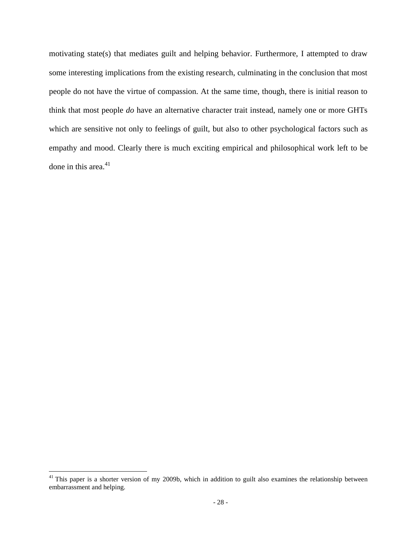motivating state(s) that mediates guilt and helping behavior. Furthermore, I attempted to draw some interesting implications from the existing research, culminating in the conclusion that most people do not have the virtue of compassion. At the same time, though, there is initial reason to think that most people *do* have an alternative character trait instead, namely one or more GHTs which are sensitive not only to feelings of guilt, but also to other psychological factors such as empathy and mood. Clearly there is much exciting empirical and philosophical work left to be done in this area.<sup>41</sup>

 $41$  This paper is a shorter version of my 2009b, which in addition to guilt also examines the relationship between embarrassment and helping.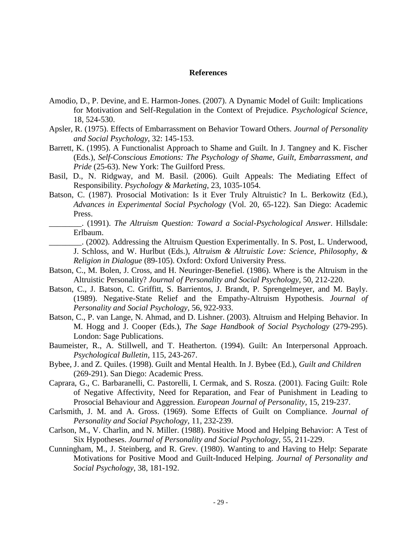#### **References**

- Amodio, D., P. Devine, and E. Harmon-Jones. (2007). A Dynamic Model of Guilt: Implications for Motivation and Self-Regulation in the Context of Prejudice. *Psychological Science*, 18, 524-530.
- Apsler, R. (1975). Effects of Embarrassment on Behavior Toward Others. *Journal of Personality and Social Psychology*, 32: 145-153.
- Barrett, K. (1995). A Functionalist Approach to Shame and Guilt. In J. Tangney and K. Fischer (Eds.), *Self-Conscious Emotions: The Psychology of Shame, Guilt, Embarrassment, and Pride* (25-63). New York: The Guilford Press.
- Basil, D., N. Ridgway, and M. Basil. (2006). Guilt Appeals: The Mediating Effect of Responsibility. *Psychology & Marketing*, 23, 1035-1054.
- Batson, C. (1987). Prosocial Motivation: Is it Ever Truly Altruistic? In L. Berkowitz (Ed.), *Advances in Experimental Social Psychology* (Vol. 20, 65-122). San Diego: Academic Press.
- \_\_\_\_\_\_\_\_. (1991). *The Altruism Question: Toward a Social-Psychological Answer*. Hillsdale: Erlbaum.
	- \_\_\_\_\_\_\_\_. (2002). Addressing the Altruism Question Experimentally. In S. Post, L. Underwood, J. Schloss, and W. Hurlbut (Eds.), *Altruism & Altruistic Love: Science, Philosophy, & Religion in Dialogue* (89-105). Oxford: Oxford University Press.
- Batson, C., M. Bolen, J. Cross, and H. Neuringer-Benefiel. (1986). Where is the Altruism in the Altruistic Personality? *Journal of Personality and Social Psychology*, 50, 212-220.
- Batson, C., J. Batson, C. Griffitt, S. Barrientos, J. Brandt, P. Sprengelmeyer, and M. Bayly. (1989). Negative-State Relief and the Empathy-Altruism Hypothesis. *Journal of Personality and Social Psychology*, 56, 922-933.
- Batson, C., P. van Lange, N. Ahmad, and D. Lishner. (2003). Altruism and Helping Behavior. In M. Hogg and J. Cooper (Eds.), *The Sage Handbook of Social Psychology* (279-295). London: Sage Publications.
- Baumeister, R., A. Stillwell, and T. Heatherton. (1994). Guilt: An Interpersonal Approach. *Psychological Bulletin*, 115, 243-267.
- Bybee, J. and Z. Quiles. (1998). Guilt and Mental Health. In J. Bybee (Ed.), *Guilt and Children* (269-291). San Diego: Academic Press.
- Caprara, G., C. Barbaranelli, C. Pastorelli, I. Cermak, and S. Rosza. (2001). Facing Guilt: Role of Negative Affectivity, Need for Reparation, and Fear of Punishment in Leading to Prosocial Behaviour and Aggression. *European Journal of Personality*, 15, 219-237.
- Carlsmith, J. M. and A. Gross. (1969). Some Effects of Guilt on Compliance. *Journal of Personality and Social Psychology*, 11, 232-239.
- Carlson, M., V. Charlin, and N. Miller. (1988). Positive Mood and Helping Behavior: A Test of Six Hypotheses. *Journal of Personality and Social Psychology*, 55, 211-229.
- Cunningham, M., J. Steinberg, and R. Grev. (1980). Wanting to and Having to Help: Separate Motivations for Positive Mood and Guilt-Induced Helping. *Journal of Personality and Social Psychology*, 38, 181-192.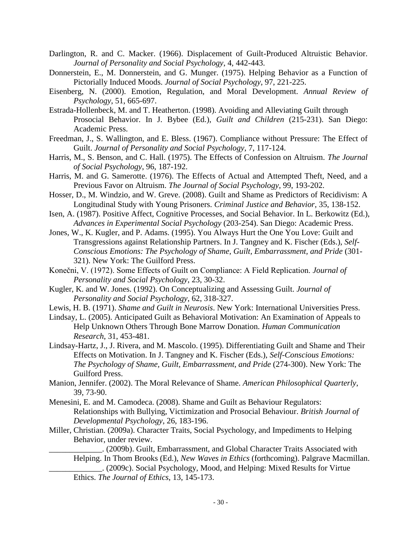- Darlington, R. and C. Macker. (1966). Displacement of Guilt-Produced Altruistic Behavior. *Journal of Personality and Social Psychology*, 4, 442-443.
- Donnerstein, E., M. Donnerstein, and G. Munger. (1975). Helping Behavior as a Function of Pictorially Induced Moods. *Journal of Social Psychology*, 97, 221-225.
- Eisenberg, N. (2000). Emotion, Regulation, and Moral Development. *Annual Review of Psychology*, 51, 665-697.
- Estrada-Hollenbeck, M. and T. Heatherton. (1998). Avoiding and Alleviating Guilt through Prosocial Behavior. In J. Bybee (Ed.), *Guilt and Children* (215-231). San Diego: Academic Press.
- Freedman, J., S. Wallington, and E. Bless. (1967). Compliance without Pressure: The Effect of Guilt. *Journal of Personality and Social Psychology*, 7, 117-124.
- Harris, M., S. Benson, and C. Hall. (1975). The Effects of Confession on Altruism. *The Journal of Social Psychology*, 96, 187-192.
- Harris, M. and G. Samerotte. (1976). The Effects of Actual and Attempted Theft, Need, and a Previous Favor on Altruism. *The Journal of Social Psychology*, 99, 193-202.
- Hosser, D., M. Windzio, and W. Greve. (2008). Guilt and Shame as Predictors of Recidivism: A Longitudinal Study with Young Prisoners. *Criminal Justice and Behavior*, 35, 138-152.
- Isen, A. (1987). Positive Affect, Cognitive Processes, and Social Behavior. In L. Berkowitz (Ed.), *Advances in Experimental Social Psychology* (203-254). San Diego: Academic Press.
- Jones, W., K. Kugler, and P. Adams. (1995). You Always Hurt the One You Love: Guilt and Transgressions against Relationship Partners. In J. Tangney and K. Fischer (Eds.), *Self-Conscious Emotions: The Psychology of Shame, Guilt, Embarrassment, and Pride* (301- 321). New York: The Guilford Press.
- Konečni, V. (1972). Some Effects of Guilt on Compliance: A Field Replication. *Journal of Personality and Social Psychology*, 23, 30-32.
- Kugler, K. and W. Jones. (1992). On Conceptualizing and Assessing Guilt. *Journal of Personality and Social Psychology*, 62, 318-327.
- Lewis, H. B. (1971). *Shame and Guilt in Neurosis*. New York: International Universities Press.
- Lindsay, L. (2005). Anticipated Guilt as Behavioral Motivation: An Examination of Appeals to Help Unknown Others Through Bone Marrow Donation. *Human Communication Research*, 31, 453-481.
- Lindsay-Hartz, J., J. Rivera, and M. Mascolo. (1995). Differentiating Guilt and Shame and Their Effects on Motivation. In J. Tangney and K. Fischer (Eds.), *Self-Conscious Emotions: The Psychology of Shame, Guilt, Embarrassment, and Pride* (274-300). New York: The Guilford Press.
- Manion, Jennifer. (2002). The Moral Relevance of Shame. *American Philosophical Quarterly*, 39, 73-90.
- Menesini, E. and M. Camodeca. (2008). Shame and Guilt as Behaviour Regulators: Relationships with Bullying, Victimization and Prosocial Behaviour. *British Journal of Developmental Psychology*, 26, 183-196.
- Miller, Christian. (2009a). Character Traits, Social Psychology, and Impediments to Helping Behavior, under review.
	- \_\_\_\_\_\_\_\_\_\_\_\_\_. (2009b). Guilt, Embarrassment, and Global Character Traits Associated with Helping. In Thom Brooks (Ed.), *New Waves in Ethics* (forthcoming). Palgrave Macmillan.
		- \_\_\_\_\_\_\_\_\_\_\_\_\_. (2009c). Social Psychology, Mood, and Helping: Mixed Results for Virtue Ethics. *The Journal of Ethics*, 13, 145-173.